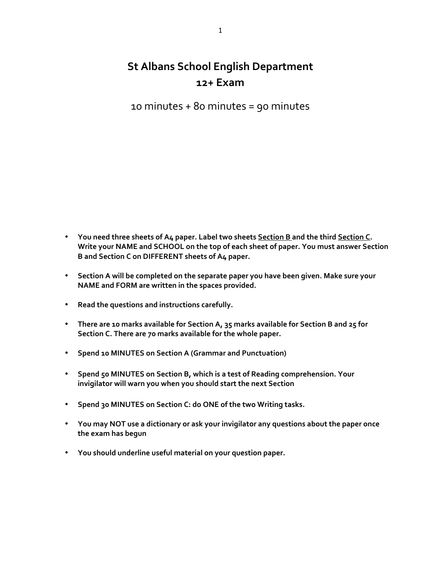# **St Albans School English Department 12+ Exam**

 $10$  minutes +  $80$  minutes =  $90$  minutes

- You need three sheets of A4 paper. Label two sheets **Section B** and the third Section C. Write your NAME and SCHOOL on the top of each sheet of paper. You must answer Section B and Section C on DIFFERENT sheets of A4 paper.
- Section A will be completed on the separate paper you have been given. Make sure your **NAME** and FORM are written in the spaces provided.
- Read the questions and instructions carefully.
- There are 10 marks available for Section A, 35 marks available for Section B and 25 for Section C. There are 70 marks available for the whole paper.
- **•** Spend 10 MINUTES on Section A (Grammar and Punctuation)
- Spend 50 MINUTES on Section B, which is a test of Reading comprehension. Your invigilator will warn you when you should start the next Section
- Spend 30 MINUTES on Section C: do ONE of the two Writing tasks.
- You may NOT use a dictionary or ask your invigilator any questions about the paper once **the exam has begun**
- **You should underline useful material on your question paper.**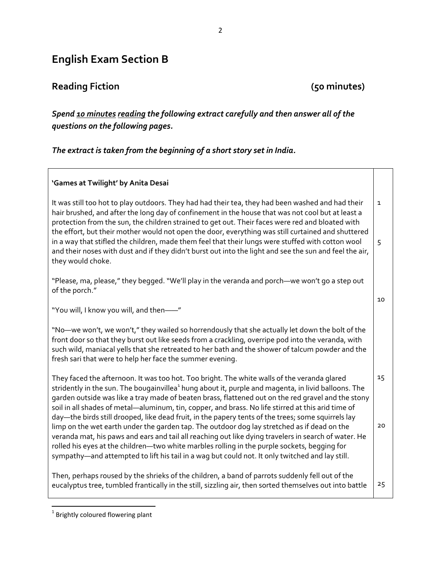# **English Exam Section B**

## **Reading Fiction Constanting Constanting Constanting (50 minutes)**

*Spend* 10 minutes reading the following extract carefully and then answer all of the *questions on the following pages.*

## The extract is taken from the beginning of a short story set in India.

#### 'Games at Twilight' by Anita Desai It was still too hot to play outdoors. They had had their tea, they had been washed and had their hair brushed, and after the long day of confinement in the house that was not cool but at least a protection from the sun, the children strained to get out. Their faces were red and bloated with the effort, but their mother would not open the door, everything was still curtained and shuttered in a way that stifled the children, made them feel that their lungs were stuffed with cotton wool and their noses with dust and if they didn't burst out into the light and see the sun and feel the air, they would choke. "Please, ma, please," they begged. "We'll play in the veranda and porch—we won't go a step out of the porch." "You will, I know you will, and then-"No—we won't, we won't," they wailed so horrendously that she actually let down the bolt of the front door so that they burst out like seeds from a crackling, overripe pod into the veranda, with such wild, maniacal yells that she retreated to her bath and the shower of talcum powder and the fresh sari that were to help her face the summer evening. They faced the afternoon. It was too hot. Too bright. The white walls of the veranda glared stridently in the sun. The bougainvillea $^1$  hung about it, purple and magenta, in livid balloons. The garden outside was like a tray made of beaten brass, flattened out on the red gravel and the stony soil in all shades of metal—aluminum, tin, copper, and brass. No life stirred at this arid time of day—the birds still drooped, like dead fruit, in the papery tents of the trees; some squirrels lay limp on the wet earth under the garden tap. The outdoor dog lay stretched as if dead on the veranda mat, his paws and ears and tail all reaching out like dying travelers in search of water. He rolled his eyes at the children—two white marbles rolling in the purple sockets, begging for sympathy—and attempted to lift his tail in a wag but could not. It only twitched and lay still. Then, perhaps roused by the shrieks of the children, a band of parrots suddenly fell out of the eucalyptus tree, tumbled frantically in the still, sizzling air, then sorted themselves out into battle 1 5 10 15 20 25

<sup>&</sup>lt;u> 1989 - Jan Samuel Barbara, margaret e</u>  $^1$  Brightly coloured flowering plant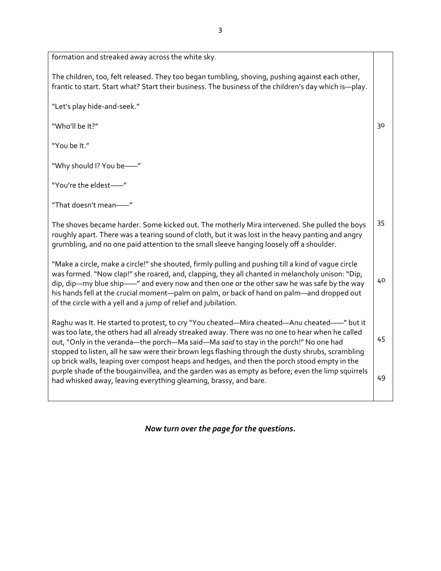formation and streaked away across the white sky.

The children, too, felt released. They too began tumbling, shoving, pushing against each other, frantic to start. Start what? Start their business. The business of the children's day which is—play.

30

"Let's play hide-and-seek."

"Who'll be It?"

"You be It."

"Why should I? You be-

"You're the eldest-

"That doesn't mean-

The shoves became harder. Some kicked out. The motherly Mira intervened. She pulled the boys roughly apart. There was a tearing sound of cloth, but it was lost in the heavy panting and angry grumbling, and no one paid attention to the small sleeve hanging loosely off a shoulder. 35

"Make a circle, make a circle!" she shouted, firmly pulling and pushing till a kind of vague circle was formed. "Now clap!" she roared, and, clapping, they all chanted in melancholy unison: "Dip, dip, dip—my blue ship——" and every now and then one or the other saw he was safe by the way his hands fell at the crucial moment—palm on palm, or back of hand on palm—and dropped out of the circle with a yell and a jump of relief and jubilation. 40

Raghu was It. He started to protest, to cry "You cheated—Mira cheated—Anu cheated——" but it was too late, the others had all already streaked away. There was no one to hear when he called out, "Only in the veranda—the porch—Ma said—Ma said to stay in the porch!" No one had stopped to listen, all he saw were their brown legs flashing through the dusty shrubs, scrambling up brick walls, leaping over compost heaps and hedges, and then the porch stood empty in the purple shade of the bougainvillea, and the garden was as empty as before; even the limp squirrels had whisked away, leaving everything gleaming, brassy, and bare. 45 49

*Now turn over the page for the questions.*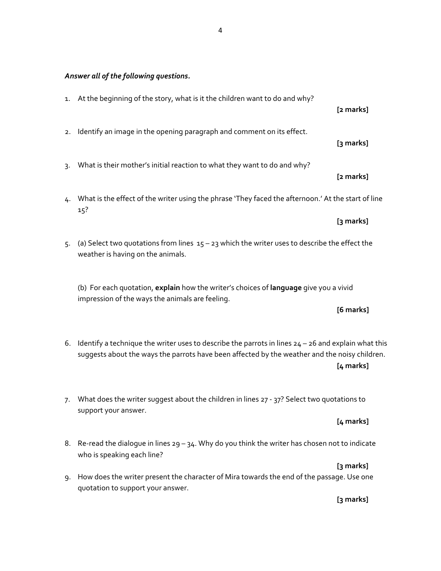## *Answer all of the following questions.*

|    | 1. At the beginning of the story, what is it the children want to do and why?                                                                                                                          | [2 marks]   |  |
|----|--------------------------------------------------------------------------------------------------------------------------------------------------------------------------------------------------------|-------------|--|
| 2. | Identify an image in the opening paragraph and comment on its effect.                                                                                                                                  | $[3$ marks] |  |
|    | 3. What is their mother's initial reaction to what they want to do and why?                                                                                                                            | [2 marks]   |  |
| 4. | What is the effect of the writer using the phrase 'They faced the afternoon.' At the start of line<br>15?                                                                                              |             |  |
|    |                                                                                                                                                                                                        | $[3$ marks] |  |
| 5. | (a) Select two quotations from lines $15 - 23$ which the writer uses to describe the effect the<br>weather is having on the animals.                                                                   |             |  |
|    | (b) For each quotation, explain how the writer's choices of language give you a vivid<br>impression of the ways the animals are feeling.                                                               |             |  |
|    |                                                                                                                                                                                                        | [6 marks]   |  |
| 6. | Identify a technique the writer uses to describe the parrots in lines $24 - 26$ and explain what this<br>suggests about the ways the parrots have been affected by the weather and the noisy children. | [4 marks]   |  |
| 7. | What does the writer suggest about the children in lines 27 - 37? Select two quotations to<br>support your answer.                                                                                     |             |  |
|    |                                                                                                                                                                                                        | [4 marks]   |  |
| 8. | Re-read the dialogue in lines $29 - 34$ . Why do you think the writer has chosen not to indicate<br>who is speaking each line?                                                                         |             |  |
| 9. | How does the writer present the character of Mira towards the end of the passage. Use one<br>quotation to support your answer.                                                                         | [3 marks]   |  |
|    |                                                                                                                                                                                                        | [3 marks]   |  |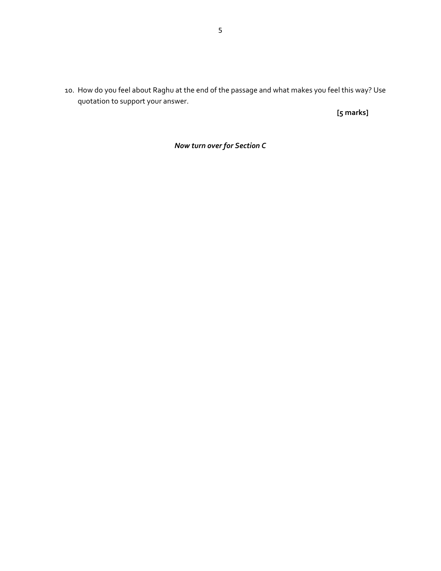10. How do you feel about Raghu at the end of the passage and what makes you feel this way? Use quotation to support your answer.

**[5 marks]**

*Now turn over for Section C*